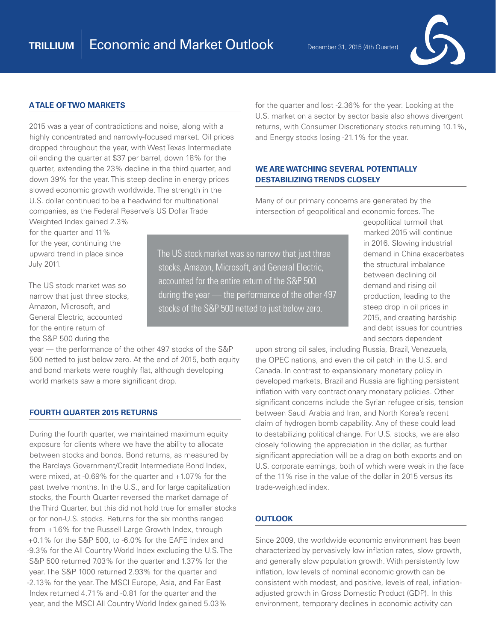for the quarter and lost -2.36% for the year. Looking at the U.S. market on a sector by sector basis also shows divergent returns, with Consumer Discretionary stocks returning 10.1%,

and Energy stocks losing -21.1% for the year.

**WE ARE WATCHING SEVERAL POTENTIALLY** 

Many of our primary concerns are generated by the

**DESTABILIZING TRENDS CLOSELY**



# **A TALE OF TWO MARKETS**

2015 was a year of contradictions and noise, along with a highly concentrated and narrowly-focused market. Oil prices dropped throughout the year, with West Texas Intermediate oil ending the quarter at \$37 per barrel, down 18% for the quarter, extending the 23% decline in the third quarter, and down 39% for the year. This steep decline in energy prices slowed economic growth worldwide. The strength in the U.S. dollar continued to be a headwind for multinational companies, as the Federal Reserve's US Dollar Trade

Weighted Index gained 2.3% for the quarter and 11% for the year, continuing the upward trend in place since July 2011.

The US stock market was so narrow that just three stocks, Amazon, Microsoft, and General Electric, accounted for the entire return of the S&P 500 during the

year — the performance of the other 497 stocks of the S&P 500 netted to just below zero. At the end of 2015, both equity and bond markets were roughly flat, although developing world markets saw a more significant drop.

#### **FOURTH QUARTER 2015 RETURNS**

During the fourth quarter, we maintained maximum equity exposure for clients where we have the ability to allocate between stocks and bonds. Bond returns, as measured by the Barclays Government/Credit Intermediate Bond Index, were mixed, at -0.69% for the quarter and +1.07% for the past twelve months. In the U.S., and for large capitalization stocks, the Fourth Quarter reversed the market damage of the Third Quarter, but this did not hold true for smaller stocks or for non-U.S. stocks. Returns for the six months ranged from +1.6% for the Russell Large Growth Index, through +0.1% for the S&P 500, to -6.0% for the EAFE Index and -9.3% for the All Country World Index excluding the U.S. The S&P 500 returned 7.03% for the quarter and 1.37% for the year. The S&P 1000 returned 2.93% for the quarter and -2.13% for the year. The MSCI Europe, Asia, and Far East Index returned 4.71% and -0.81 for the quarter and the year, and the MSCI All Country World Index gained 5.03%

intersection of geopolitical and economic forces. The geopolitical turmoil that The US stock market was so narrow that just three stocks, Amazon, Microsoft, and General Electric,

accounted for the entire return of the S&P 500

during the year — the performance of the other 497 stocks of the S&P 500 netted to just below zero.

marked 2015 will continue in 2016. Slowing industrial demand in China exacerbates the structural imbalance between declining oil demand and rising oil production, leading to the steep drop in oil prices in 2015, and creating hardship and debt issues for countries and sectors dependent

upon strong oil sales, including Russia, Brazil, Venezuela, the OPEC nations, and even the oil patch in the U.S. and Canada. In contrast to expansionary monetary policy in developed markets, Brazil and Russia are fighting persistent inflation with very contractionary monetary policies. Other significant concerns include the Syrian refugee crisis, tension between Saudi Arabia and Iran, and North Korea's recent claim of hydrogen bomb capability. Any of these could lead to destabilizing political change. For U.S. stocks, we are also closely following the appreciation in the dollar, as further significant appreciation will be a drag on both exports and on U.S. corporate earnings, both of which were weak in the face of the 11% rise in the value of the dollar in 2015 versus its trade-weighted index.

# **OUTLOOK**

Since 2009, the worldwide economic environment has been characterized by pervasively low inflation rates, slow growth, and generally slow population growth. With persistently low inflation, low levels of nominal economic growth can be consistent with modest, and positive, levels of real, inflationadjusted growth in Gross Domestic Product (GDP). In this environment, temporary declines in economic activity can